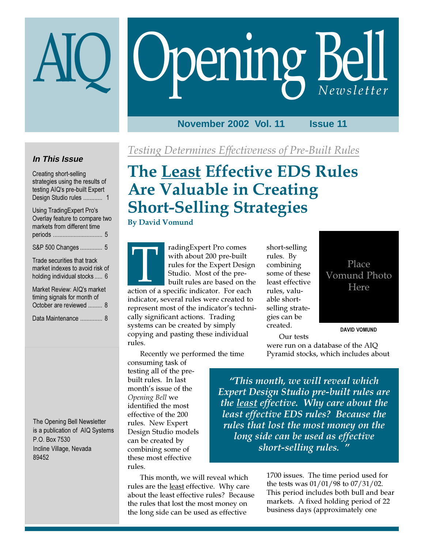# Opening Bell

# **November 2002 Vol. 11 Issue 11**

# **In This Issue**

Creating short-selling strategies using the results of testing AIQ's pre-built Expert Design Studio rules ............ 1

Using TradingExpert Pro's Overlay feature to compare two markets from different time periods ............................... 5 S&P 500 Changes .............. 5 Trade securities that track

market indexes to avoid risk of holding individual stocks ..... 6

Market Review: AIQ's market timing signals for month of October are reviewed ......... 8 Data Maintenance .............. 8

The Opening Bell Newsletter is a publication of AIQ Systems P.O. Box 7530 Incline Village, Nevada 89452

Testing Determines Effectiveness of Pre-Built Rules

# The Least Effective EDS Rules Are Valuable in Creating Short-Selling Strategies

## By David Vomund

radingExpert Pro comes with about 200 pre-built rules for the Expert Design Studio. Most of the prebuilt rules are based on the with about 200 pre-built<br>with about 200 pre-built<br>rules for the Expert Desig<br>Studio. Most of the pre-<br>built rules are based on th<br>action of a specific indicator. For each indicator, several rules were created to represent most of the indicator's techni-

cally significant actions. Trading systems can be created by simply copying and pasting these individual rules.

Recently we performed the time

consuming task of testing all of the prebuilt rules. In last month's issue of the Opening Bell we identified the most effective of the 200 rules. New Expert Design Studio models can be created by combining some of these most effective rules.

This month, we will reveal which rules are the least effective. Why care about the least effective rules? Because the rules that lost the most money on the long side can be used as effective

short-selling rules. By combining some of these least effective rules, valuable shortselling strategies can be created.



DAVID VOMUND

Our tests were run on a database of the AIQ Pyramid stocks, which includes about

"This month, we will reveal which Expert Design Studio pre-built rules are the least effective. Why care about the least effective EDS rules? Because the rules that lost the most money on the long side can be used as effective short-selling rules. "

> 1700 issues. The time period used for the tests was 01/01/98 to 07/31/02. This period includes both bull and bear markets. A fixed holding period of 22 business days (approximately one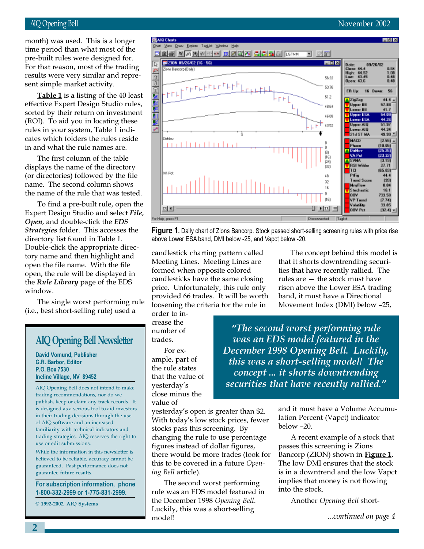For that reason, most of the trading month) was used. This is a longer time period than what most of the pre-built rules were designed for. results were very similar and represent simple market activity.

Table  $1$  is a listing of the 40 least effective Expert Design Studio rules, sorted by their return on investment (ROI). To aid you in locating these rules in your system, Table 1 indicates which folders the rules reside in and what the rule names are.

The first column of the table displays the name of the directory (or directories) followed by the file name. The second column shows the name of the rule that was tested.

To find a pre-built rule, open the Expert Design Studio and select File, Open, and double-click the EDS Strategies folder. This accesses the directory list found in Table 1. Double-click the appropriate directory name and then highlight and open the file name. With the file open, the rule will be displayed in the Rule Library page of the EDS window.

The single worst performing rule (i.e., best short-selling rule) used a

# AIQ Opening Bell Newsletter

David Vomund, Publisher G.R. Barbor, Editor P.O. Box 7530 Incline Village, NV 89452

AIQ Opening Bell does not intend to make trading recommendations, nor do we publish, keep or claim any track records. It is designed as a serious tool to aid investors in their trading decisions through the use of AIQ software and an increased familiarity with technical indicators and trading strategies. AIQ reserves the right to use or edit submissions.

While the information in this newsletter is believed to be reliable, accuracy cannot be guaranteed. Past performance does not guarantee future results.

For subscription information, phone 1-800-332-2999 or 1-775-831-2999.

© 1992-2002, AIQ Systems

٣Ħ

 $\mathbf{D}$ losv 733.58  $|16\rangle$ **VP** Trund  $(7.74)$ Volutility<br>| Volutility<br>| OBV Pct 33.85  $ER$  4 0 HD 3  $[32.4]$ Disconnected

**Figure 1.** Daily chart of Zions Bancorp. Stock passed short-selling screening rules with price rise above Lower ESA band, DMI below -25, and Vapct below -20.

candlestick charting pattern called Meeting Lines. Meeting Lines are formed when opposite colored candlesticks have the same closing price. Unfortunately, this rule only provided 66 trades. It will be worth loosening the criteria for the rule in

order to increase the number of trades.

For example, part of the rule states that the value of yesterday's close minus the value of

yesterday's open is greater than \$2. With today's low stock prices, fewer stocks pass this screening. By changing the rule to use percentage figures instead of dollar figures, there would be more trades (look for this to be covered in a future Opening Bell article).

The second worst performing rule was an EDS model featured in the December 1998 Opening Bell. Luckily, this was a short-selling model!

The concept behind this model is that it shorts downtrending securities that have recently rallied. The rules are — the stock must have risen above the Lower ESA trading band, it must have a Directional Movement Index (DMI) below –25,

"The second worst performing rule was an EDS model featured in the December 1998 Opening Bell. Luckily, this was a short-selling model! The concept ... it shorts downtrending securities that have recently rallied."

> and it must have a Volume Accumulation Percent (Vapct) indicator below –20.

> A recent example of a stock that passes this screening is Zions Bancorp (ZION) shown in **Figure 1**. The low DMI ensures that the stock is in a downtrend and the low Vapct implies that money is not flowing into the stock.

Another Opening Bell short-

...continued on page 4

# AIQ Opening Bell November 2002

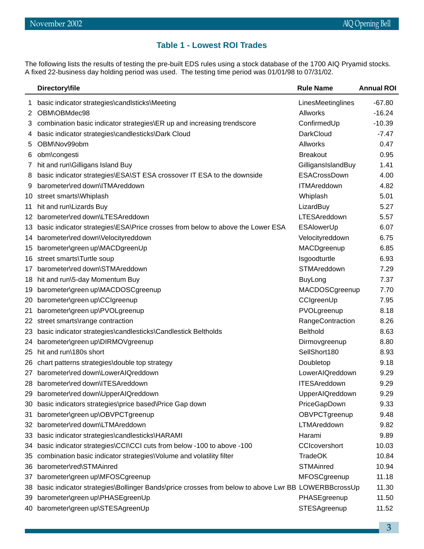# **Table 1 - Lowest ROI Trades**

The following lists the results of testing the pre-built EDS rules using a stock database of the 1700 AIQ Pryamid stocks. A fixed 22-business day holding period was used. The testing time period was 01/01/98 to 07/31/02.

|            | Directory\file                                                                                     | <b>Rule Name</b>     | <b>Annual ROI</b> |
|------------|----------------------------------------------------------------------------------------------------|----------------------|-------------------|
| 1          | basic indicator strategies\candlsticks\Meeting                                                     | LinesMeetinglines    | $-67.80$          |
| 2.         | OBM\OBMdec98                                                                                       | <b>Allworks</b>      | $-16.24$          |
| 3          | combination basic indicator strategies\ER up and increasing trendscore                             | ConfirmedUp          | $-10.39$          |
| 4          | basic indicator strategies\candlesticks\Dark Cloud                                                 | DarkCloud            | $-7.47$           |
| 5          | OBM\Nov99obm                                                                                       | <b>Allworks</b>      | 0.47              |
| 6          | obm\congesti                                                                                       | <b>Breakout</b>      | 0.95              |
| $\sqrt{2}$ | hit and run\Gilligans Island Buy                                                                   | GilligansIslandBuy   | 1.41              |
| 8          | basic indicator strategies\ESA\ST ESA crossover IT ESA to the downside                             | ESACrossDown         | 4.00              |
| 9          | barometer\red down\ITMAreddown                                                                     | <b>ITMAreddown</b>   | 4.82              |
| 10         | street smarts\Whiplash                                                                             | Whiplash             | 5.01              |
| 11         | hit and run\Lizards Buy                                                                            | LizardBuy            | 5.27              |
|            | 12 barometer\red down\LTESAreddown                                                                 | LTESAreddown         | 5.57              |
| 13.        | basic indicator strategies\ESA\Price crosses from below to above the Lower ESA                     | <b>ESAlowerUp</b>    | 6.07              |
| 14         | barometer\red down\Velocityreddown                                                                 | Velocityreddown      | 6.75              |
| 15         | barometer\green up\MACDgreenUp                                                                     | MACDgreenup          | 6.85              |
| 16.        | street smarts\Turtle soup                                                                          | Isgoodturtle         | 6.93              |
| 17         | barometer\red down\STMAreddown                                                                     | STMAreddown          | 7.29              |
| 18         | hit and run\5-day Momentum Buy                                                                     | <b>BuyLong</b>       | 7.37              |
| 19         | barometer\green up\MACDOSCgreenup                                                                  | MACDOSCgreenup       | 7.70              |
| 20         | barometer\green up\CCIgreenup                                                                      | CCIgreenUp           | 7.95              |
| 21         | barometer\green up\PVOLgreenup                                                                     | PVOLgreenup          | 8.18              |
|            | 22 street smarts\range contraction                                                                 | RangeContraction     | 8.26              |
| 23         | basic indicator strategies\candlesticks\Candlestick Beltholds                                      | <b>Belthold</b>      | 8.63              |
| 24.        | barometer\green up\DIRMOVgreenup                                                                   | Dirmovgreenup        | 8.80              |
| 25         | hit and run\180s short                                                                             | SellShort180         | 8.93              |
| 26         | chart patterns strategies\double top strategy                                                      | Doubletop            | 9.18              |
| 27         | barometer\red down\LowerAIQreddown                                                                 | LowerAIQreddown      | 9.29              |
|            | 28 barometer\red down\ITESAreddown                                                                 | <b>ITESAreddown</b>  | 9.29              |
| 29         | barometer\red down\UpperAlQreddown                                                                 | UpperAIQreddown      | 9.29              |
| 30         | basic indicators strategies\price based\Price Gap down                                             | PriceGapDown         | 9.33              |
| 31         | barometer\green up\OBVPCTgreenup                                                                   | OBVPCTgreenup        | 9.48              |
| 32         | barometer\red down\LTMAreddown                                                                     | LTMAreddown          | 9.82              |
| 33         | basic indicator strategies\candlesticks\HARAMI                                                     | Harami               | 9.89              |
| 34         | basic indicator strategies\CCI\CCI cuts from below -100 to above -100                              | <b>CCIcovershort</b> | 10.03             |
| 35         | combination basic indicator strategies\Volume and volatility filter                                | <b>TradeOK</b>       | 10.84             |
| 36         | barometer\red\STMAinred                                                                            | <b>STMAinred</b>     | 10.94             |
| 37         | barometer\green up\MFOSCgreenup                                                                    | MFOSCgreenup         | 11.18             |
| 38         | basic indicator strategies\Bollinger Bands\price crosses from below to above Lwr BB LOWERBBcrossUp |                      | 11.30             |
| 39         | barometer\green up\PHASEgreenUp                                                                    | PHASEgreenup         | 11.50             |
| 40         | barometer\green up\STESAgreenUp                                                                    | STESAgreenup         | 11.52             |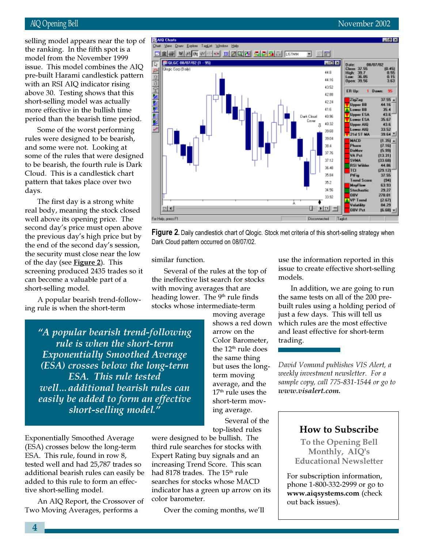issue. This model combines the AIQ selling model appears near the top of the ranking. In the fifth spot is a model from the November 1999 pre-built Harami candlestick pattern with an RSI AIQ indicator rising above 30. Testing shows that this short-selling model was actually more effective in the bullish time period than the bearish time period.

Some of the worst performing rules were designed to be bearish, and some were not. Looking at some of the rules that were designed to be bearish, the fourth rule is Dark Cloud. This is a candlestick chart pattern that takes place over two days.

The first day is a strong white real body, meaning the stock closed well above its opening price. The second day's price must open above the previous day's high price but by the end of the second day's session, the security must close near the low of the day (see Figure 2). This screening produced 2435 trades so it can become a valuable part of a short-selling model.

A popular bearish trend-following rule is when the short-term

> "A popular bearish trend-following rule is when the short-term Exponentially Smoothed Average (ESA) crosses below the long-term ESA. This rule tested well…additional bearish rules can easily be added to form an effective short-selling model."

Exponentially Smoothed Average (ESA) crosses below the long-term ESA. This rule, found in row 8, tested well and had 25,787 trades so additional bearish rules can easily be added to this rule to form an effective short-selling model.

An AIQ Report, the Crossover of Two Moving Averages, performs a

moving average shows a red down arrow on the Color Barometer, the  $12<sup>th</sup>$  rule does the same thing but uses the longterm moving average, and the 17<sup>th</sup> rule uses the short-term moving average. Several of the

top-listed rules

were designed to be bullish. The third rule searches for stocks with Expert Rating buy signals and an increasing Trend Score. This scan had 8178 trades. The 15<sup>th</sup> rule searches for stocks whose MACD indicator has a green up arrow on its color barometer.

Over the coming months, we'll

use the information reported in this issue to create effective short-selling models.

In addition, we are going to run the same tests on all of the 200 prebuilt rules using a holding period of just a few days. This will tell us which rules are the most effective and least effective for short-term trading.

David Vomund publishes VIS Alert, a weekly investment newsletter. For a sample copy, call 775-831-1544 or go to www.visalert.com.

# How to Subscribe

To the Opening Bell Monthly, AIQ's Educational Newsletter

For subscription information, phone 1-800-332-2999 or go to www.aiqsystems.com (check out back issues).

Figure 2. Daily candlestick chart of Qlogic. Stock met criteria of this short-selling strategy when Dark Cloud pattern occurred on 08/07/02.

similar function.

Several of the rules at the top of the ineffective list search for stocks with moving averages that are heading lower. The 9<sup>th</sup> rule finds stocks whose intermediate-term

AIQ Opening Bell November 2002

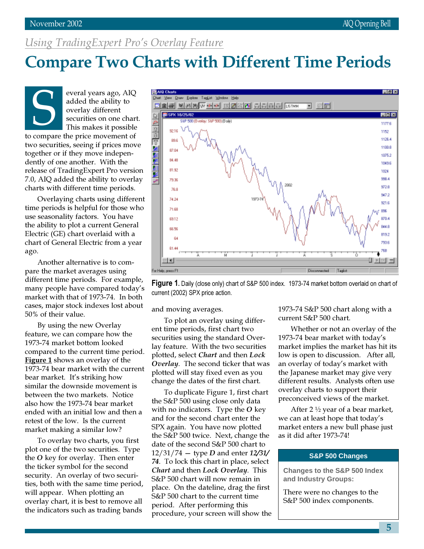# Using TradingExpert Pro's Overlay Feature

# Compare Two Charts with Different Time Periods

everal years ago, AIQ added the ability to overlay different securities on one chart. This makes it possible Everal years ago, Algebral years ago, Algebral years ago, Algebral states and added the ability to overlay different securities on one chan This makes it possible two securities, seeing if prices move together or if they move independently of one another. With the release of TradingExpert Pro version 7.0, AIQ added the ability to overlay charts with different time periods.

e per<br>e seas<br>e abili<br>ectric<br>art of<br>p. Overlaying charts using different time periods is helpful for those who use seasonality factors. You have the ability to plot a current General Electric (GE) chart overlaid with a chart of General Electric from a year ago.

Another alternative is to compare the market averages using different time periods. For example, many people have compared today's market with that of 1973-74. In both cases, major stock indexes lost about 50% of their value.

By using the new Overlay feature, we can compare how the 1973-74 market bottom looked compared to the current time period. Figure 1 shows an overlay of the 1973-74 bear market with the current bear market. It's striking how similar the downside movement is between the two markets. Notice also how the 1973-74 bear market ended with an initial low and then a retest of the low. Is the current market making a similar low?

To overlay two charts, you first plot one of the two securities. Type the O key for overlay. Then enter the ticker symbol for the second security. An overlay of two securities, both with the same time period, will appear. When plotting an overlay chart, it is best to remove all the indicators such as trading bands



Figure 1. Daily (close only) chart of S&P 500 index. 1973-74 market bottom overlaid on chart of current (2002) SPX price action.

and moving averages.

To plot an overlay using different time periods, first chart two securities using the standard Overlay feature. With the two securities plotted, select Chart and then Lock Overlay. The second ticker that was plotted will stay fixed even as you change the dates of the first chart.

To duplicate Figure 1, first chart the S&P 500 using close only data with no indicators. Type the  $O$  key and for the second chart enter the SPX again. You have now plotted the S&P 500 twice. Next, change the date of the second S&P 500 chart to  $12/31/74 -$  type *D* and enter  $12/31/$ 74. To lock this chart in place, select Chart and then Lock Overlay. This S&P 500 chart will now remain in place. On the dateline, drag the first S&P 500 chart to the current time period. After performing this procedure, your screen will show the 1973-74 S&P 500 chart along with a current S&P 500 chart.

Whether or not an overlay of the 1973-74 bear market with today's market implies the market has hit its low is open to discussion. After all, an overlay of today's market with the Japanese market may give very different results. Analysts often use overlay charts to support their preconceived views of the market.

After 2 ½ year of a bear market, we can at least hope that today's market enters a new bull phase just as it did after 1973-74!

## **S&P 500 Changes**

**Changes to the S&P 500 Index and Industry Groups:**

There were no changes to the S&P 500 index components.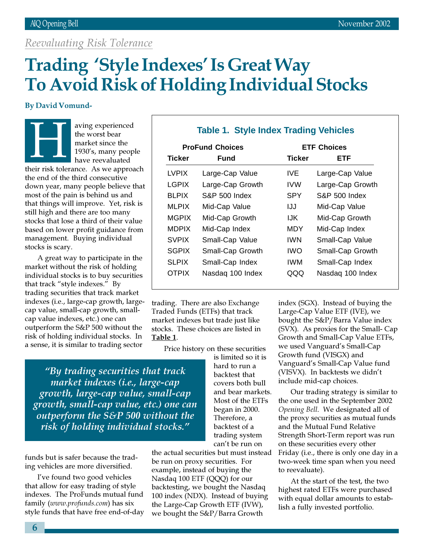# Reevaluating Risk Tolerance

# Trading 'Style Indexes' Is Great Way To Avoid Risk of Holding Individual Stocks

# By David Vomund-

aving experienced the worst bear market since the 1930's, many people have reevaluated  $\frac{1}{\sqrt{1+\frac{1}{2}}\sqrt{1+\frac{1}{2}}\sqrt{1+\frac{1}{2}}\sqrt{1+\frac{1}{2}}\sqrt{1+\frac{1}{2}}\sqrt{1+\frac{1}{2}}\sqrt{1+\frac{1}{2}}\sqrt{1+\frac{1}{2}}\sqrt{1+\frac{1}{2}}\sqrt{1+\frac{1}{2}}\sqrt{1+\frac{1}{2}}\sqrt{1+\frac{1}{2}}\sqrt{1+\frac{1}{2}}\sqrt{1+\frac{1}{2}}\sqrt{1+\frac{1}{2}}\sqrt{1+\frac{1}{2}}\sqrt{1+\frac{1}{2}}\sqrt{1+\frac{1}{2}}\sqrt{1+\frac{1}{2}}\sqrt{1+\frac$ 

their risk tolerance. As we approach the end of the third consecutive down year, many people believe that most of the pain is behind us and that things will improve. Yet, risk is still high and there are too many stocks that lose a third of their value based on lower profit guidance from management. Buying individual stocks is scary.

A great way to participate in the market without the risk of holding individual stocks is to buy securities that track "style indexes." By trading securities that track market indexes (i.e., large-cap growth, largecap value, small-cap growth, smallcap value indexes, etc.) one can outperform the S&P 500 without the risk of holding individual stocks. In a sense, it is similar to trading sector

# **Table 1. Style Index Trading Vehicles**

| <b>ProFund Choices</b> |                          | <b>ETF Choices</b> |                          |
|------------------------|--------------------------|--------------------|--------------------------|
| <b>Ticker</b>          | Fund                     | <b>Ticker</b>      | <b>ETF</b>               |
| LVPIX                  | Large-Cap Value          | IVE.               | Large-Cap Value          |
| <b>LGPIX</b>           | Large-Cap Growth         | <b>IVW</b>         | Large-Cap Growth         |
| <b>BLPIX</b>           | <b>S&amp;P 500 Index</b> | <b>SPY</b>         | <b>S&amp;P 500 Index</b> |
| <b>MLPIX</b>           | Mid-Cap Value            | IJJ                | Mid-Cap Value            |
| <b>MGPIX</b>           | Mid-Cap Growth           | IJK.               | Mid-Cap Growth           |
| <b>MDPIX</b>           | Mid-Cap Index            | MDY                | Mid-Cap Index            |
| <b>SVPIX</b>           | Small-Cap Value          | <b>IWN</b>         | Small-Cap Value          |
| <b>SGPIX</b>           | Small-Cap Growth         | <b>IWO</b>         | Small-Cap Growth         |
| <b>SLPIX</b>           | Small-Cap Index          | IWM                | Small-Cap Index          |
| <b>OTPIX</b>           | Nasdag 100 Index         | QQQ                | Nasdag 100 Index         |
|                        |                          |                    |                          |

trading. There are also Exchange Traded Funds (ETFs) that track market indexes but trade just like stocks. These choices are listed in Table 1.

Price history on these securities

"By trading securities that track market indexes (i.e., large-cap growth, large-cap value, small-cap growth, small-cap value, etc.) one can outperform the S&P 500 without the risk of holding individual stocks."

funds but is safer because the trading vehicles are more diversified.

I've found two good vehicles that allow for easy trading of style indexes. The ProFunds mutual fund family (www.profunds.com) has six style funds that have free end-of-day is limited so it is hard to run a backtest that covers both bull and bear markets. Most of the ETFs began in 2000. Therefore, a backtest of a trading system can't be run on

the actual securities but must instead be run on proxy securities. For example, instead of buying the Nasdaq 100 ETF (QQQ) for our backtesting, we bought the Nasdaq 100 index (NDX). Instead of buying the Large-Cap Growth ETF (IVW), we bought the S&P/Barra Growth

index (SGX). Instead of buying the Large-Cap Value ETF (IVE), we bought the S&P/Barra Value index (SVX). As proxies for the Small- Cap Growth and Small-Cap Value ETFs, we used Vanguard's Small-Cap Growth fund (VISGX) and Vanguard's Small-Cap Value fund (VISVX). In backtests we didn't include mid-cap choices.

Our trading strategy is similar to the one used in the September 2002 Opening Bell. We designated all of the proxy securities as mutual funds and the Mutual Fund Relative Strength Short-Term report was run on these securities every other Friday (i.e., there is only one day in a two-week time span when you need to reevaluate).

At the start of the test, the two highest rated ETFs were purchased with equal dollar amounts to establish a fully invested portfolio.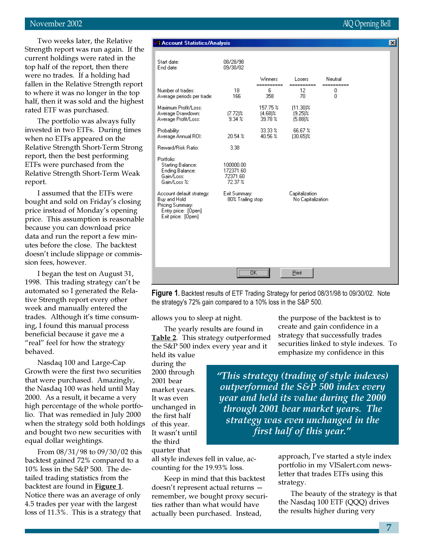## November 2002 AIQ Opening Bell

Two weeks later, the Relative Strength report was run again. If the current holdings were rated in the top half of the report, then there were no trades. If a holding had fallen in the Relative Strength report to where it was no longer in the top half, then it was sold and the highest rated ETF was purchased.

The portfolio was always fully invested in two ETFs. During times when no ETFs appeared on the Relative Strength Short-Term Strong report, then the best performing ETFs were purchased from the Relative Strength Short-Term Weak report.

I assumed that the ETFs were bought and sold on Friday's closing price instead of Monday's opening price. This assumption is reasonable because you can download price data and run the report a few minutes before the close. The backtest doesn't include slippage or commission fees, however.

I began the test on August 31, 1998. This trading strategy can't be automated so I generated the Relative Strength report every other week and manually entered the trades. Although it's time consuming, I found this manual process beneficial because it gave me a "real" feel for how the strategy behaved.

Nasdaq 100 and Large-Cap Growth were the first two securities that were purchased. Amazingly, the Nasdaq 100 was held until May 2000. As a result, it became a very high percentage of the whole portfolio. That was remedied in July 2000 when the strategy sold both holdings and bought two new securities with equal dollar weightings.

From 08/31/98 to 09/30/02 this backtest gained 72% compared to a 10% loss in the S&P 500. The detailed trading statistics from the backtest are found in **Figure 1**. Notice there was an average of only 4.5 trades per year with the largest loss of 11.3%. This is a strategy that

## **A Account Statistics/Analysis**

| Start date:<br>End date:                                                                                   | 08/28/98<br>09/30/02                          |                                   |                                         |                      |  |
|------------------------------------------------------------------------------------------------------------|-----------------------------------------------|-----------------------------------|-----------------------------------------|----------------------|--|
|                                                                                                            |                                               | Winners                           | Losers                                  | Neutral              |  |
| Number of trades:<br>Average periods per trade:                                                            | 18<br>166                                     | ==========<br>6<br>358            | ==========<br>12<br>70                  | ==========<br>0<br>0 |  |
| Maximum Profit/Loss:<br>Average Drawdown:<br>Average Profit/Loss:                                          | $[7.72]$ %<br>9.34%                           | 157.75 %<br>$(4.68)$ %<br>39.78 % | $(11.30)$ %<br>$(9.25)$ %<br>$(5.88)$ % |                      |  |
| Probability:<br>Average Annual ROI:                                                                        | 20.54 %                                       | 33.33 %<br>40.56 %                | 66.67%<br>$(30.65)$ %                   |                      |  |
| Reward/Risk Ratio:                                                                                         | 3.38                                          |                                   |                                         |                      |  |
| Portfolio:<br><b>Starting Balance:</b><br>Ending Balance:<br>Gain/Loss:<br>Gain/Loss %:                    | 100000.00<br>172371.60<br>72371.60<br>72.37 % |                                   |                                         |                      |  |
| Account default strategy:<br>Buy and Hold<br>Pricing Summary:<br>Entry price: [Open]<br>Exit price: [Open] | Exit Summary:<br>80% Trailing stop            |                                   | Capitalization<br>No Capitalization     |                      |  |
|                                                                                                            | $\overline{X}$<br>                            |                                   | Print                                   |                      |  |

Figure 1. Backtest results of ETF Trading Strategy for period 08/31/98 to 09/30/02. Note the strategy's 72% gain compared to a 10% loss in the S&P 500.

allows you to sleep at night.

The yearly results are found in Table 2. This strategy outperformed the S&P 500 index every year and it held its value

during the 2000 through 2001 bear market years. It was even unchanged in the first half of this year. It wasn't until the third quarter that

all style indexes fell in value, accounting for the 19.93% loss.

Keep in mind that this backtest doesn't represent actual returns remember, we bought proxy securities rather than what would have actually been purchased. Instead,

the purpose of the backtest is to create and gain confidence in a strategy that successfully trades securities linked to style indexes. To emphasize my confidence in this

"This strategy (trading of style indexes) outperformed the S&P 500 index every year and held its value during the 2000 through 2001 bear market years. The strategy was even unchanged in the first half of this year."

> approach, I've started a style index portfolio in my VISalert.com newsletter that trades ETFs using this strategy.

The beauty of the strategy is that the Nasdaq 100 ETF (QQQ) drives the results higher during very